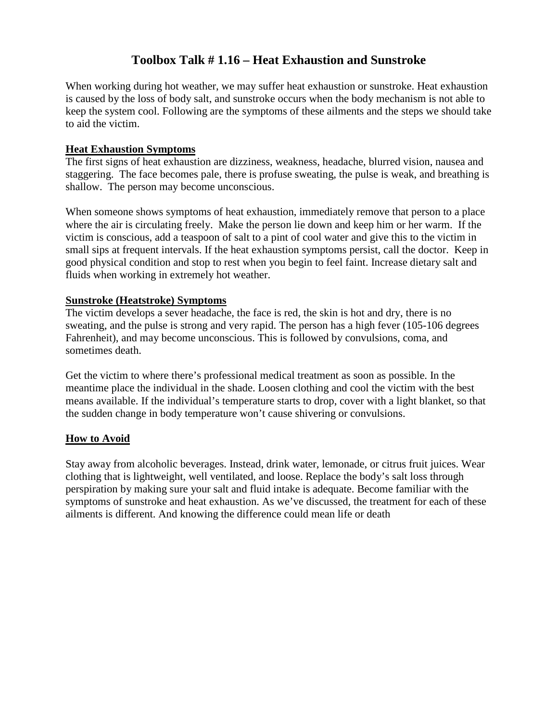### **Toolbox Talk # 1.16 – Heat Exhaustion and Sunstroke**

When working during hot weather, we may suffer heat exhaustion or sunstroke. Heat exhaustion is caused by the loss of body salt, and sunstroke occurs when the body mechanism is not able to keep the system cool. Following are the symptoms of these ailments and the steps we should take to aid the victim.

#### **Heat Exhaustion Symptoms**

The first signs of heat exhaustion are dizziness, weakness, headache, blurred vision, nausea and staggering. The face becomes pale, there is profuse sweating, the pulse is weak, and breathing is shallow. The person may become unconscious.

When someone shows symptoms of heat exhaustion, immediately remove that person to a place where the air is circulating freely. Make the person lie down and keep him or her warm. If the victim is conscious, add a teaspoon of salt to a pint of cool water and give this to the victim in small sips at frequent intervals. If the heat exhaustion symptoms persist, call the doctor. Keep in good physical condition and stop to rest when you begin to feel faint. Increase dietary salt and fluids when working in extremely hot weather.

#### **Sunstroke (Heatstroke) Symptoms**

The victim develops a sever headache, the face is red, the skin is hot and dry, there is no sweating, and the pulse is strong and very rapid. The person has a high fever (105-106 degrees Fahrenheit), and may become unconscious. This is followed by convulsions, coma, and sometimes death.

Get the victim to where there's professional medical treatment as soon as possible. In the meantime place the individual in the shade. Loosen clothing and cool the victim with the best means available. If the individual's temperature starts to drop, cover with a light blanket, so that the sudden change in body temperature won't cause shivering or convulsions.

#### **How to Avoid**

Stay away from alcoholic beverages. Instead, drink water, lemonade, or citrus fruit juices. Wear clothing that is lightweight, well ventilated, and loose. Replace the body's salt loss through perspiration by making sure your salt and fluid intake is adequate. Become familiar with the symptoms of sunstroke and heat exhaustion. As we've discussed, the treatment for each of these ailments is different. And knowing the difference could mean life or death